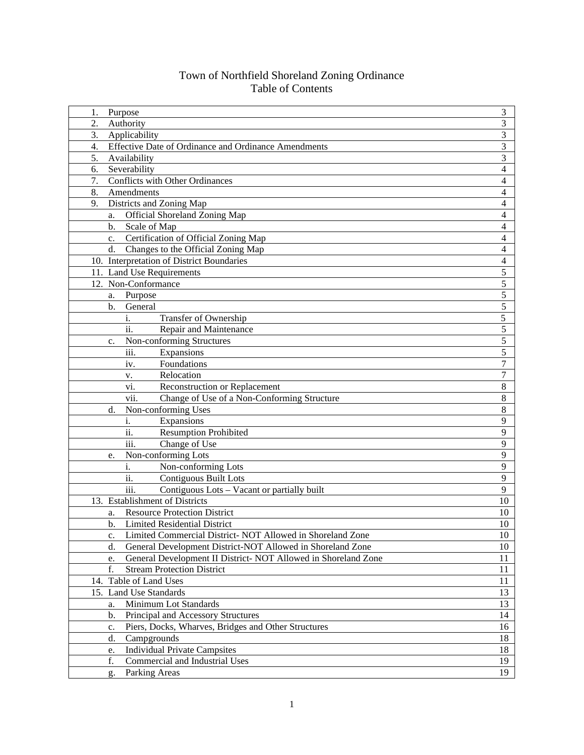## Town of Northfield Shoreland Zoning Ordinance Table of Contents

| 1.               | Purpose                                                                  | 3              |
|------------------|--------------------------------------------------------------------------|----------------|
| 2.               | Authority                                                                | 3              |
| 3.               | Applicability                                                            | 3              |
| $\overline{4}$ . | Effective Date of Ordinance and Ordinance Amendments                     | 3              |
| 5.               | Availability                                                             | 3              |
| 6.               | Severability                                                             | 4              |
| 7.               | <b>Conflicts with Other Ordinances</b>                                   | 4              |
| 8.               | Amendments                                                               | 4              |
| 9.               | Districts and Zoning Map                                                 | 4              |
|                  | Official Shoreland Zoning Map<br>a.                                      | 4              |
|                  | Scale of Map<br>b.                                                       | 4              |
|                  | Certification of Official Zoning Map<br>$\mathbf{c}$ .                   | 4              |
|                  | d.<br>Changes to the Official Zoning Map                                 | 4              |
|                  | 10. Interpretation of District Boundaries                                | 4              |
|                  | 11. Land Use Requirements                                                | 5              |
|                  | 12. Non-Conformance                                                      | 5              |
|                  | Purpose<br>a.                                                            | 5              |
|                  | General<br>b.                                                            | 5              |
|                  | i.<br>Transfer of Ownership                                              | 5              |
|                  | ii.<br>Repair and Maintenance                                            | 5              |
|                  | Non-conforming Structures<br>c.                                          | 5              |
|                  | iii.<br>Expansions                                                       | 5              |
|                  | Foundations<br>iv.                                                       | $\overline{7}$ |
|                  | Relocation<br>v.                                                         | $\overline{7}$ |
|                  | Reconstruction or Replacement<br>vi.                                     | 8              |
|                  | vii.<br>Change of Use of a Non-Conforming Structure                      | 8              |
|                  | Non-conforming Uses<br>d.                                                | 8              |
|                  | i.<br>Expansions                                                         | 9              |
|                  | ii.<br><b>Resumption Prohibited</b>                                      | 9              |
|                  | $\overline{\text{iii}}$ .<br>Change of Use                               | 9              |
|                  | Non-conforming Lots<br>e.                                                | 9              |
|                  | i.<br>Non-conforming Lots                                                | 9              |
|                  | ii.<br><b>Contiguous Built Lots</b>                                      | 9              |
|                  | $\overline{\text{iii}}$ .<br>Contiguous Lots - Vacant or partially built | 9              |
|                  | 13. Establishment of Districts                                           | 10             |
|                  | <b>Resource Protection District</b><br>a.                                | 10             |
|                  | b.<br><b>Limited Residential District</b>                                | 10             |
|                  | Limited Commercial District- NOT Allowed in Shoreland Zone<br>c.         | 10             |
|                  | General Development District-NOT Allowed in Shoreland Zone<br>d.         | 10             |
|                  | General Development II District- NOT Allowed in Shoreland Zone<br>e.     | 11             |
|                  | f.<br><b>Stream Protection District</b>                                  | 11             |
|                  | 14. Table of Land Uses                                                   | 11             |
|                  | 15. Land Use Standards                                                   | 13             |
|                  | Minimum Lot Standards<br>a.                                              | 13             |
|                  | Principal and Accessory Structures<br>b.                                 | 14             |
|                  | Piers, Docks, Wharves, Bridges and Other Structures<br>c.                | 16             |
|                  | Campgrounds<br>d.                                                        | 18             |
|                  | <b>Individual Private Campsites</b><br>e.                                | 18             |
|                  | Commercial and Industrial Uses<br>f.                                     | 19<br>19       |
|                  | Parking Areas<br>g.                                                      |                |